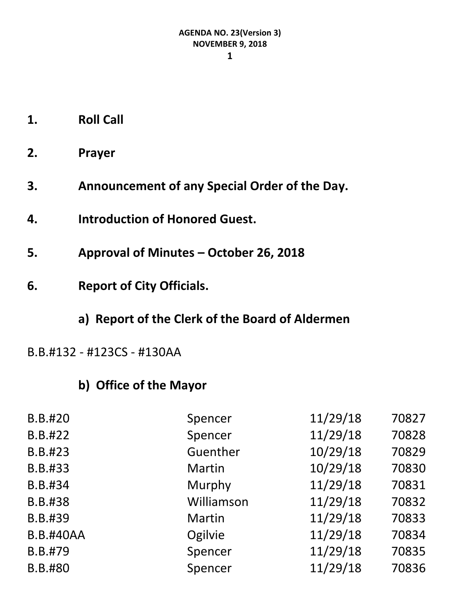#### **1**

- **1. Roll Call**
- **2. Prayer**
- **3. Announcement of any Special Order of the Day.**
- **4. Introduction of Honored Guest.**
- **5. Approval of Minutes – October 26, 2018**
- **6. Report of City Officials.**

#### **a) Report of the Clerk of the Board of Aldermen**

#### B.B.#132 - #123CS - #130AA

### **b) Office of the Mayor**

| <b>B.B.#20</b>   | Spencer       | 11/29/18 | 70827 |
|------------------|---------------|----------|-------|
| B.B.#22          | Spencer       | 11/29/18 | 70828 |
| B.B.#23          | Guenther      | 10/29/18 | 70829 |
| B.B.#33          | Martin        | 10/29/18 | 70830 |
| B.B.#34          | Murphy        | 11/29/18 | 70831 |
| B.B.#38          | Williamson    | 11/29/18 | 70832 |
| B.B.#39          | <b>Martin</b> | 11/29/18 | 70833 |
| <b>B.B.#40AA</b> | Ogilvie       | 11/29/18 | 70834 |
| B.B.#79          | Spencer       | 11/29/18 | 70835 |
| B.B.#80          | Spencer       | 11/29/18 | 70836 |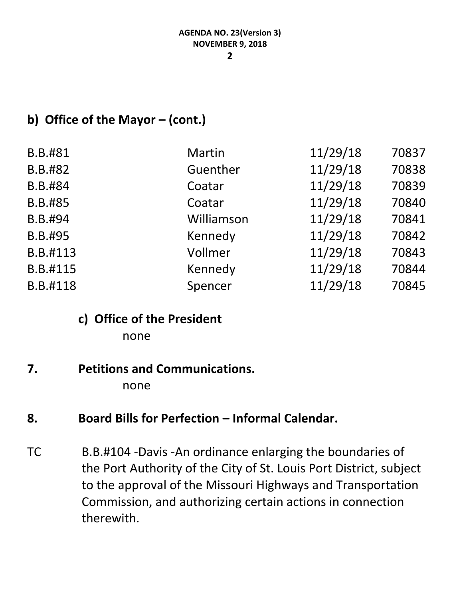# **b) Office of the Mayor – (cont.)**

| B.B.#81  | <b>Martin</b> | 11/29/18 | 70837 |
|----------|---------------|----------|-------|
|          |               |          |       |
| B.B.#82  | Guenther      | 11/29/18 | 70838 |
| B.B.#84  | Coatar        | 11/29/18 | 70839 |
| B.B.#85  | Coatar        | 11/29/18 | 70840 |
| B.B.#94  | Williamson    | 11/29/18 | 70841 |
| B.B.#95  | Kennedy       | 11/29/18 | 70842 |
| B.B.#113 | Vollmer       | 11/29/18 | 70843 |
| B.B.#115 | Kennedy       | 11/29/18 | 70844 |
| B.B.#118 | Spencer       | 11/29/18 | 70845 |
|          |               |          |       |

# **c) Office of the President**

none

# **7. Petitions and Communications.**

none

# 8. **Board Bills for Perfection – Informal Calendar.**

TC B.B.#104 -Davis -An ordinance enlarging the boundaries of the Port Authority of the City of St. Louis Port District, subject to the approval of the Missouri Highways and Transportation Commission, and authorizing certain actions in connection therewith.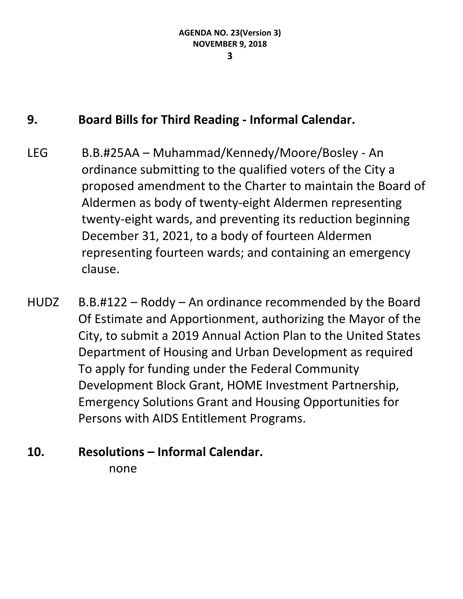#### **9. Board Bills for Third Reading - Informal Calendar.**

- LEG B.B.#25AA Muhammad/Kennedy/Moore/Bosley An ordinance submitting to the qualified voters of the City a proposed amendment to the Charter to maintain the Board of Aldermen as body of twenty-eight Aldermen representing twenty-eight wards, and preventing its reduction beginning December 31, 2021, to a body of fourteen Aldermen representing fourteen wards; and containing an emergency clause.
- HUDZ B.B.#122 Roddy An ordinance recommended by the Board Of Estimate and Apportionment, authorizing the Mayor of the City, to submit a 2019 Annual Action Plan to the United States Department of Housing and Urban Development as required To apply for funding under the Federal Community Development Block Grant, HOME Investment Partnership, Emergency Solutions Grant and Housing Opportunities for Persons with AIDS Entitlement Programs.
- **10. Resolutions – Informal Calendar.** none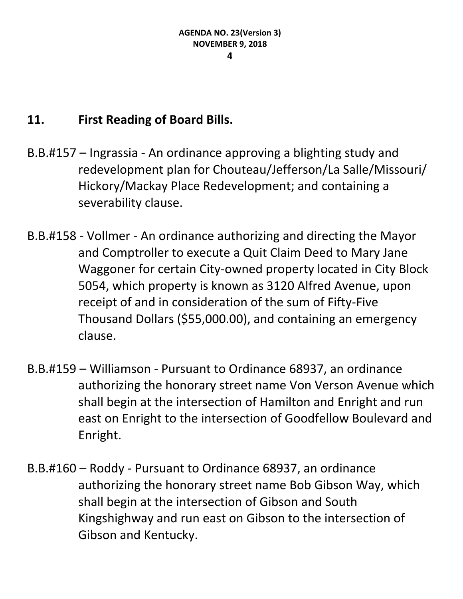#### **11. First Reading of Board Bills.**

- B.B.#157 Ingrassia An ordinance approving a blighting study and redevelopment plan for Chouteau/Jefferson/La Salle/Missouri/ Hickory/Mackay Place Redevelopment; and containing a severability clause.
- B.B.#158 Vollmer An ordinance authorizing and directing the Mayor and Comptroller to execute a Quit Claim Deed to Mary Jane Waggoner for certain City-owned property located in City Block 5054, which property is known as 3120 Alfred Avenue, upon receipt of and in consideration of the sum of Fifty-Five Thousand Dollars (\$55,000.00), and containing an emergency clause.
- B.B.#159 Williamson Pursuant to Ordinance 68937, an ordinance authorizing the honorary street name Von Verson Avenue which shall begin at the intersection of Hamilton and Enright and run east on Enright to the intersection of Goodfellow Boulevard and Enright.
- B.B.#160 Roddy Pursuant to Ordinance 68937, an ordinance authorizing the honorary street name Bob Gibson Way, which shall begin at the intersection of Gibson and South Kingshighway and run east on Gibson to the intersection of Gibson and Kentucky.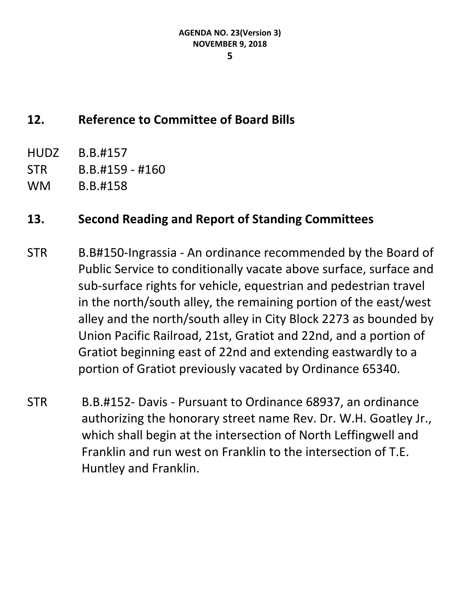#### **5**

# **12. Reference to Committee of Board Bills**

- HUDZ B.B.#157
- STR B.B.#159 #160
- WM B.B.#158

# **13. Second Reading and Report of Standing Committees**

- STR B.B#150-Ingrassia An ordinance recommended by the Board of Public Service to conditionally vacate above surface, surface and sub-surface rights for vehicle, equestrian and pedestrian travel in the north/south alley, the remaining portion of the east/west alley and the north/south alley in City Block 2273 as bounded by Union Pacific Railroad, 21st, Gratiot and 22nd, and a portion of Gratiot beginning east of 22nd and extending eastwardly to a portion of Gratiot previously vacated by Ordinance 65340.
- STR B.B.#152- Davis Pursuant to Ordinance 68937, an ordinance authorizing the honorary street name Rev. Dr. W.H. Goatley Jr., which shall begin at the intersection of North Leffingwell and Franklin and run west on Franklin to the intersection of T.E. Huntley and Franklin.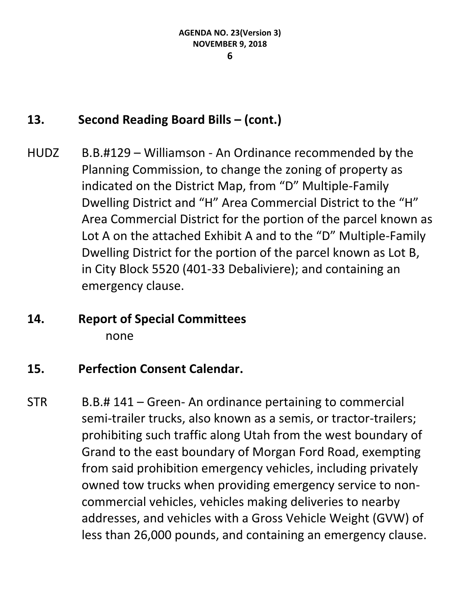# **13. Second Reading Board Bills – (cont.)**

HUDZ B.B.#129 – Williamson - An Ordinance recommended by the Planning Commission, to change the zoning of property as indicated on the District Map, from "D" Multiple-Family Dwelling District and "H" Area Commercial District to the "H" Area Commercial District for the portion of the parcel known as Lot A on the attached Exhibit A and to the "D" Multiple-Family Dwelling District for the portion of the parcel known as Lot B, in City Block 5520 (401-33 Debaliviere); and containing an emergency clause.

### **14. Report of Special Committees** none

### **15. Perfection Consent Calendar.**

STR B.B.# 141 – Green- An ordinance pertaining to commercial semi-trailer trucks, also known as a semis, or tractor-trailers; prohibiting such traffic along Utah from the west boundary of Grand to the east boundary of Morgan Ford Road, exempting from said prohibition emergency vehicles, including privately owned tow trucks when providing emergency service to noncommercial vehicles, vehicles making deliveries to nearby addresses, and vehicles with a Gross Vehicle Weight (GVW) of less than 26,000 pounds, and containing an emergency clause.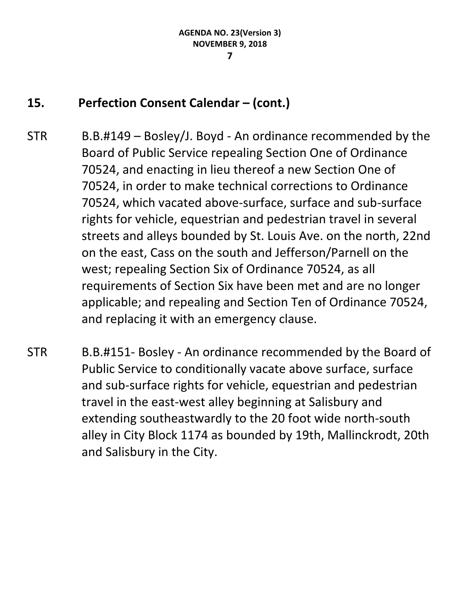# **15. Perfection Consent Calendar – (cont.)**

- STR B.B.#149 Bosley/J. Boyd An ordinance recommended by the Board of Public Service repealing Section One of Ordinance 70524, and enacting in lieu thereof a new Section One of 70524, in order to make technical corrections to Ordinance 70524, which vacated above-surface, surface and sub-surface rights for vehicle, equestrian and pedestrian travel in several streets and alleys bounded by St. Louis Ave. on the north, 22nd on the east, Cass on the south and Jefferson/Parnell on the west; repealing Section Six of Ordinance 70524, as all requirements of Section Six have been met and are no longer applicable; and repealing and Section Ten of Ordinance 70524, and replacing it with an emergency clause.
- STR B.B.#151- Bosley An ordinance recommended by the Board of Public Service to conditionally vacate above surface, surface and sub-surface rights for vehicle, equestrian and pedestrian travel in the east-west alley beginning at Salisbury and extending southeastwardly to the 20 foot wide north-south alley in City Block 1174 as bounded by 19th, Mallinckrodt, 20th and Salisbury in the City.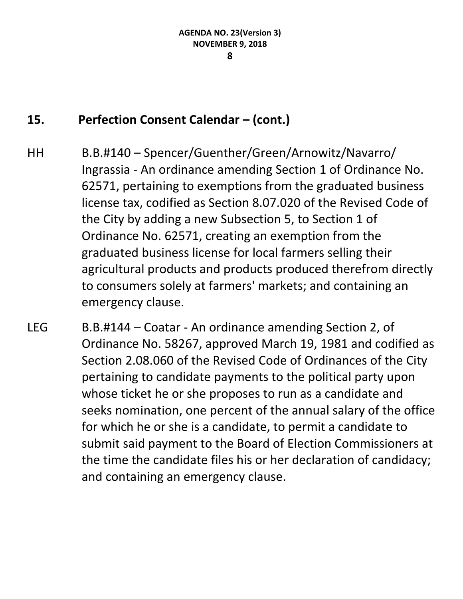#### **15. Perfection Consent Calendar – (cont.)**

- HH B.B.#140 Spencer/Guenther/Green/Arnowitz/Navarro/ Ingrassia - An ordinance amending Section 1 of Ordinance No. 62571, pertaining to exemptions from the graduated business license tax, codified as Section 8.07.020 of the Revised Code of the City by adding a new Subsection 5, to Section 1 of Ordinance No. 62571, creating an exemption from the graduated business license for local farmers selling their agricultural products and products produced therefrom directly to consumers solely at farmers' markets; and containing an emergency clause.
- LEG B.B.#144 Coatar An ordinance amending Section 2, of Ordinance No. 58267, approved March 19, 1981 and codified as Section 2.08.060 of the Revised Code of Ordinances of the City pertaining to candidate payments to the political party upon whose ticket he or she proposes to run as a candidate and seeks nomination, one percent of the annual salary of the office for which he or she is a candidate, to permit a candidate to submit said payment to the Board of Election Commissioners at the time the candidate files his or her declaration of candidacy; and containing an emergency clause.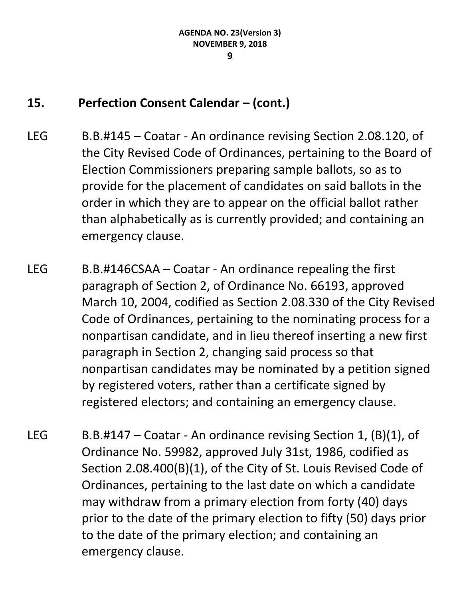# **15. Perfection Consent Calendar – (cont.)**

- LEG B.B.#145 Coatar An ordinance revising Section 2.08.120, of the City Revised Code of Ordinances, pertaining to the Board of Election Commissioners preparing sample ballots, so as to provide for the placement of candidates on said ballots in the order in which they are to appear on the official ballot rather than alphabetically as is currently provided; and containing an emergency clause.
- LEG B.B.#146CSAA Coatar An ordinance repealing the first paragraph of Section 2, of Ordinance No. 66193, approved March 10, 2004, codified as Section 2.08.330 of the City Revised Code of Ordinances, pertaining to the nominating process for a nonpartisan candidate, and in lieu thereof inserting a new first paragraph in Section 2, changing said process so that nonpartisan candidates may be nominated by a petition signed by registered voters, rather than a certificate signed by registered electors; and containing an emergency clause.
- LEG B.B.#147 Coatar An ordinance revising Section 1,  $(B)(1)$ , of Ordinance No. 59982, approved July 31st, 1986, codified as Section 2.08.400(B)(1), of the City of St. Louis Revised Code of Ordinances, pertaining to the last date on which a candidate may withdraw from a primary election from forty (40) days prior to the date of the primary election to fifty (50) days prior to the date of the primary election; and containing an emergency clause.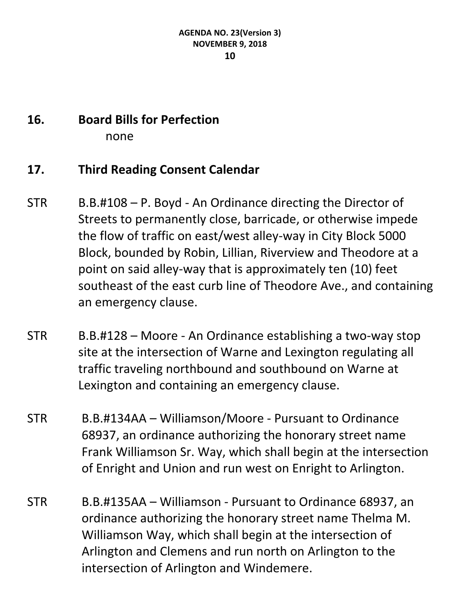# **16. Board Bills for Perfection**

none

### **17. Third Reading Consent Calendar**

- STR B.B.#108 P. Boyd An Ordinance directing the Director of Streets to permanently close, barricade, or otherwise impede the flow of traffic on east/west alley-way in City Block 5000 Block, bounded by Robin, Lillian, Riverview and Theodore at a point on said alley-way that is approximately ten (10) feet southeast of the east curb line of Theodore Ave., and containing an emergency clause.
- STR B.B.#128 Moore An Ordinance establishing a two-way stop site at the intersection of Warne and Lexington regulating all traffic traveling northbound and southbound on Warne at Lexington and containing an emergency clause.
- STR B.B.#134AA Williamson/Moore Pursuant to Ordinance 68937, an ordinance authorizing the honorary street name Frank Williamson Sr. Way, which shall begin at the intersection of Enright and Union and run west on Enright to Arlington.
- STR B.B.#135AA Williamson Pursuant to Ordinance 68937, an ordinance authorizing the honorary street name Thelma M. Williamson Way, which shall begin at the intersection of Arlington and Clemens and run north on Arlington to the intersection of Arlington and Windemere.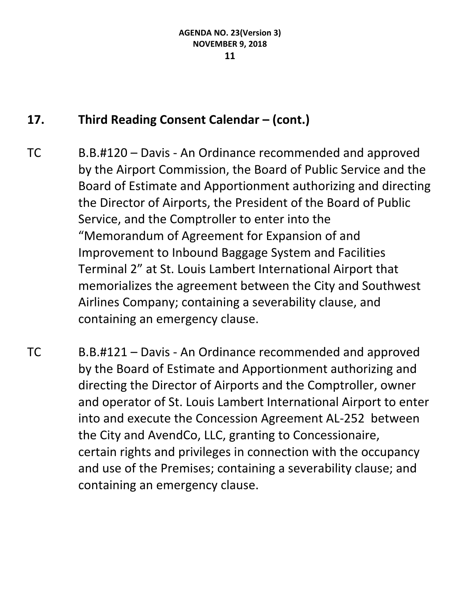# **17. Third Reading Consent Calendar – (cont.)**

- TC B.B.#120 Davis An Ordinance recommended and approved by the Airport Commission, the Board of Public Service and the Board of Estimate and Apportionment authorizing and directing the Director of Airports, the President of the Board of Public Service, and the Comptroller to enter into the "Memorandum of Agreement for Expansion of and Improvement to Inbound Baggage System and Facilities Terminal 2" at St. Louis Lambert International Airport that memorializes the agreement between the City and Southwest Airlines Company; containing a severability clause, and containing an emergency clause.
- TC B.B.#121 Davis An Ordinance recommended and approved by the Board of Estimate and Apportionment authorizing and directing the Director of Airports and the Comptroller, owner and operator of St. Louis Lambert International Airport to enter into and execute the Concession Agreement AL-252 between the City and AvendCo, LLC, granting to Concessionaire, certain rights and privileges in connection with the occupancy and use of the Premises; containing a severability clause; and containing an emergency clause.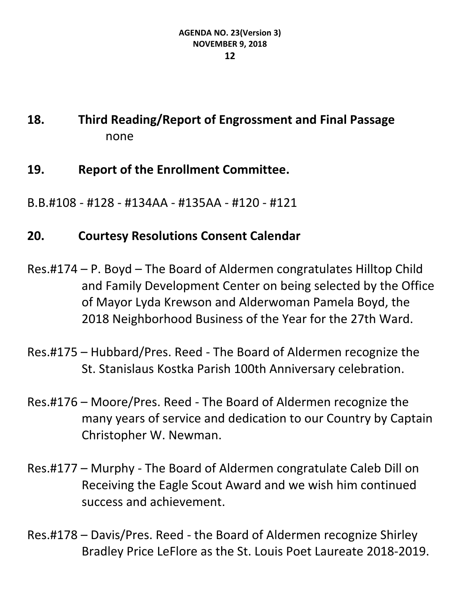# **18. Third Reading/Report of Engrossment and Final Passage** none

- **19. Report of the Enrollment Committee.**
- B.B.#108 #128 #134AA #135AA #120 #121

# **20. Courtesy Resolutions Consent Calendar**

- Res.#174 P. Boyd The Board of Aldermen congratulates Hilltop Child and Family Development Center on being selected by the Office of Mayor Lyda Krewson and Alderwoman Pamela Boyd, the 2018 Neighborhood Business of the Year for the 27th Ward.
- Res.#175 Hubbard/Pres. Reed The Board of Aldermen recognize the St. Stanislaus Kostka Parish 100th Anniversary celebration.
- Res.#176 Moore/Pres. Reed The Board of Aldermen recognize the many years of service and dedication to our Country by Captain Christopher W. Newman.
- Res.#177 Murphy The Board of Aldermen congratulate Caleb Dill on Receiving the Eagle Scout Award and we wish him continued success and achievement.
- Res.#178 Davis/Pres. Reed the Board of Aldermen recognize Shirley Bradley Price LeFlore as the St. Louis Poet Laureate 2018-2019.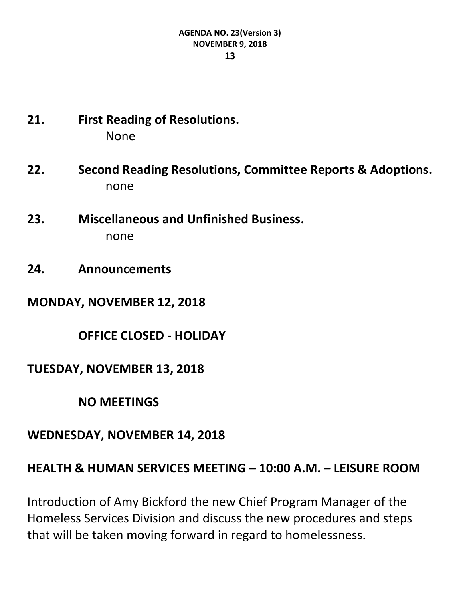# **21. First Reading of Resolutions.** None

- **22. Second Reading Resolutions, Committee Reports & Adoptions.** none
- **23. Miscellaneous and Unfinished Business.** none
- **24. Announcements**

**MONDAY, NOVEMBER 12, 2018**

**OFFICE CLOSED - HOLIDAY**

**TUESDAY, NOVEMBER 13, 2018**

**NO MEETINGS**

#### **WEDNESDAY, NOVEMBER 14, 2018**

#### **HEALTH & HUMAN SERVICES MEETING – 10:00 A.M. – LEISURE ROOM**

Introduction of Amy Bickford the new Chief Program Manager of the Homeless Services Division and discuss the new procedures and steps that will be taken moving forward in regard to homelessness.